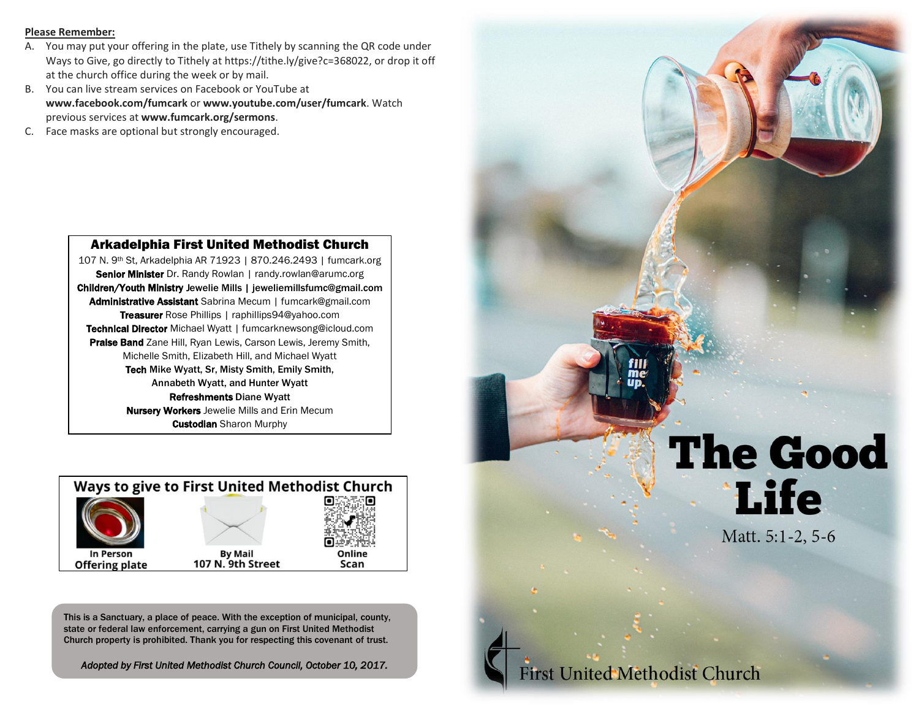#### **Please Remember:**

- A. You may put your offering in the plate, use Tithely by scanning the QR code under Ways to Give, go directly to Tithely at https://tithe.ly/give?c=368022, or drop it off at the church office during the week or by mail.
- B. You can live stream services on Facebook or YouTube at **www.facebook.com/fumcark** or **www.youtube.com/user/fumcark**. Watch previous services at **www.fumcark.org/sermons**.
- C. Face masks are optional but strongly encouraged.

#### Arkadelphia First United Methodist Church

107 N. 9th St, Arkadelphia AR 71923 | 870.246.2493 | fumcark.org Senior Minister Dr. Randy Rowlan | randy.rowlan@arumc.org Children/Youth Ministry Jewelie Mills | jeweliemillsfumc@gmail.com Administrative Assistant Sabrina Mecum | fumcark@gmail.com Treasurer Rose Phillips | raphillips94@yahoo.com Technical Director Michael Wyatt | fumcarknewsong@icloud.com Praise Band Zane Hill, Ryan Lewis, Carson Lewis, Jeremy Smith, Michelle Smith, Elizabeth Hill, and Michael Wyatt Tech Mike Wyatt, Sr, Misty Smith, Emily Smith, Annabeth Wyatt, and Hunter Wyatt Refreshments Diane Wyatt **Nursery Workers** Jewelie Mills and Erin Mecum **Custodian** Sharon Murphy



This is a Sanctuary, a place of peace. With the exception of municipal, county, state or federal law enforcement, carrying a gun on First United Methodist Church property is prohibited. Thank you for respecting this covenant of trust.

*Adopted by First United Methodist Church Council, October 10, 2017.*



Matt. 5:1-2, 5-6

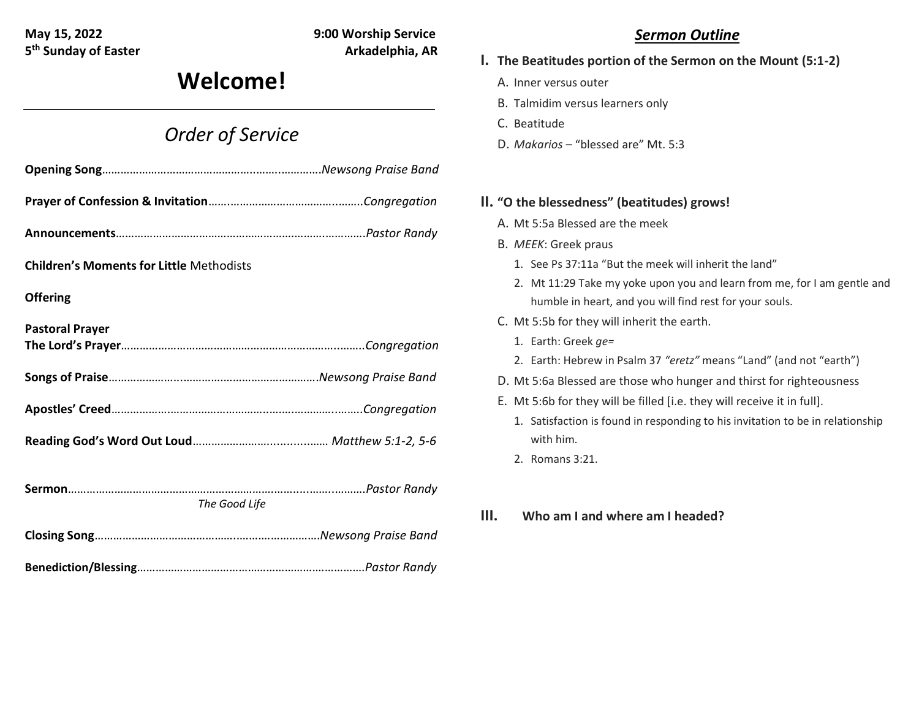**5<sup>th</sup> Sunday of Easter Arkadelphia, AR** 

**May 15, 2022 9:00 Worship Service**

# **Welcome!**

## *Order of Service*

| <b>Children's Moments for Little Methodists</b> |  |
|-------------------------------------------------|--|
| <b>Offering</b>                                 |  |
| <b>Pastoral Prayer</b>                          |  |
|                                                 |  |
|                                                 |  |
|                                                 |  |
|                                                 |  |
|                                                 |  |
|                                                 |  |
| The Good Life                                   |  |
|                                                 |  |
|                                                 |  |

## *Sermon Outline*

- **I. The Beatitudes portion of the Sermon on the Mount (5:1-2)**
	- A. Inner versus outer
	- B. Talmidim versus learners only
	- C. Beatitude
	- D. *Makarios* "blessed are" Mt. 5:3

### **II. "O the blessedness" (beatitudes) grows!**

- A. Mt 5:5a Blessed are the meek
- B. *MEEK*: Greek praus
	- 1. See Ps 37:11a "But the meek will inherit the land"
	- 2. Mt 11:29 Take my yoke upon you and learn from me, for I am gentle and humble in heart, and you will find rest for your souls.
- C. Mt 5:5b for they will inherit the earth.
	- 1. Earth: Greek *ge=*
	- 2. Earth: Hebrew in Psalm 37 *"eretz"* means "Land" (and not "earth")
- D. Mt 5:6a Blessed are those who hunger and thirst for righteousness
- E. Mt 5:6b for they will be filled [i.e. they will receive it in full].
	- 1. Satisfaction is found in responding to his invitation to be in relationship with him.
	- 2. Romans 3:21.
- **III. Who am I and where am I headed?**